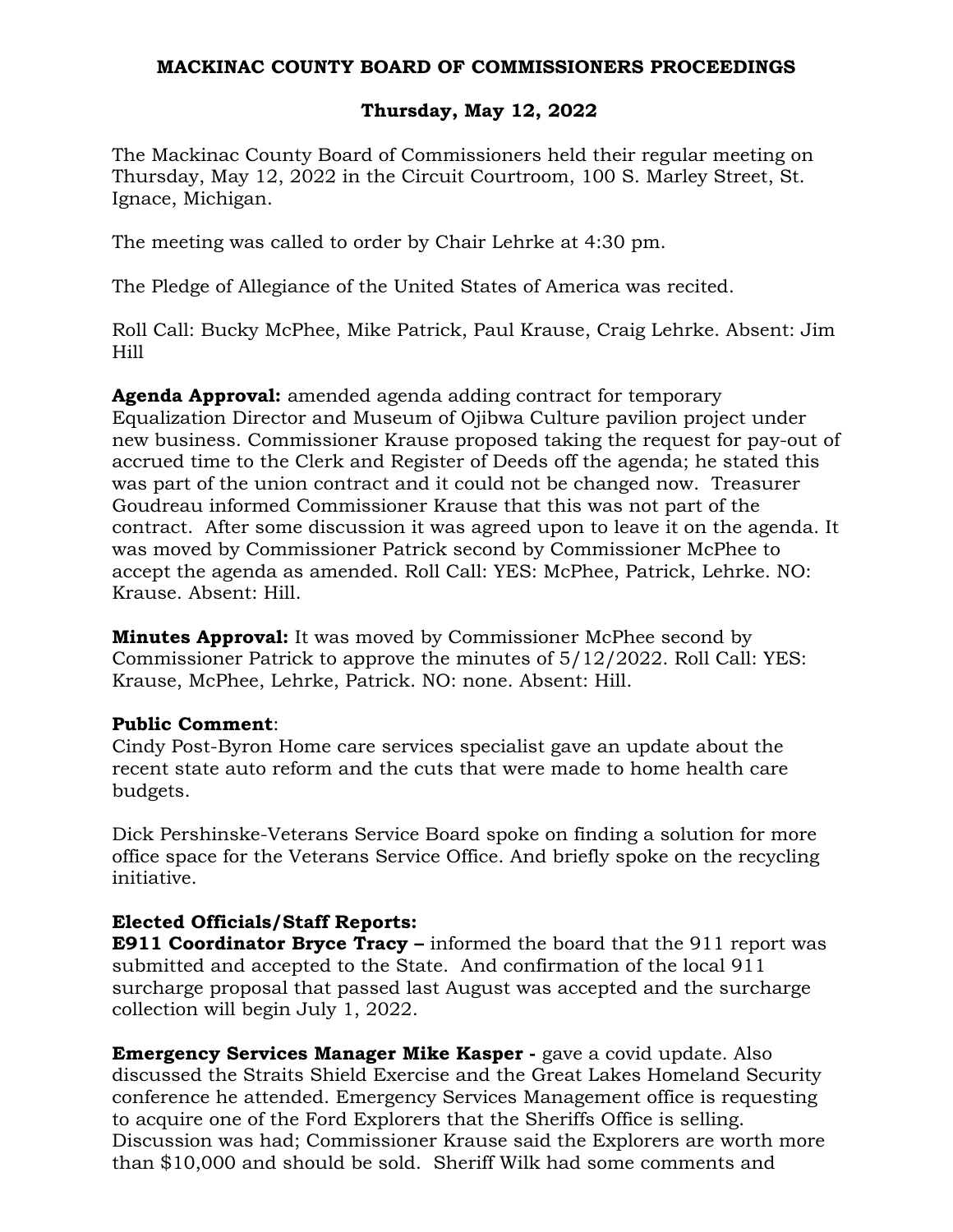#### **MACKINAC COUNTY BOARD OF COMMISSIONERS PROCEEDINGS**

### **Thursday, May 12, 2022**

The Mackinac County Board of Commissioners held their regular meeting on Thursday, May 12, 2022 in the Circuit Courtroom, 100 S. Marley Street, St. Ignace, Michigan.

The meeting was called to order by Chair Lehrke at 4:30 pm.

The Pledge of Allegiance of the United States of America was recited.

Roll Call: Bucky McPhee, Mike Patrick, Paul Krause, Craig Lehrke. Absent: Jim Hill

**Agenda Approval:** amended agenda adding contract for temporary Equalization Director and Museum of Ojibwa Culture pavilion project under new business. Commissioner Krause proposed taking the request for pay-out of accrued time to the Clerk and Register of Deeds off the agenda; he stated this was part of the union contract and it could not be changed now. Treasurer Goudreau informed Commissioner Krause that this was not part of the contract. After some discussion it was agreed upon to leave it on the agenda. It was moved by Commissioner Patrick second by Commissioner McPhee to accept the agenda as amended. Roll Call: YES: McPhee, Patrick, Lehrke. NO: Krause. Absent: Hill.

**Minutes Approval:** It was moved by Commissioner McPhee second by Commissioner Patrick to approve the minutes of 5/12/2022. Roll Call: YES: Krause, McPhee, Lehrke, Patrick. NO: none. Absent: Hill.

#### **Public Comment**:

Cindy Post-Byron Home care services specialist gave an update about the recent state auto reform and the cuts that were made to home health care budgets.

Dick Pershinske-Veterans Service Board spoke on finding a solution for more office space for the Veterans Service Office. And briefly spoke on the recycling initiative.

# **Elected Officials/Staff Reports:**

**E911 Coordinator Bryce Tracy –** informed the board that the 911 report was submitted and accepted to the State. And confirmation of the local 911 surcharge proposal that passed last August was accepted and the surcharge collection will begin July 1, 2022.

**Emergency Services Manager Mike Kasper -** gave a covid update. Also discussed the Straits Shield Exercise and the Great Lakes Homeland Security conference he attended. Emergency Services Management office is requesting to acquire one of the Ford Explorers that the Sheriffs Office is selling. Discussion was had; Commissioner Krause said the Explorers are worth more than \$10,000 and should be sold. Sheriff Wilk had some comments and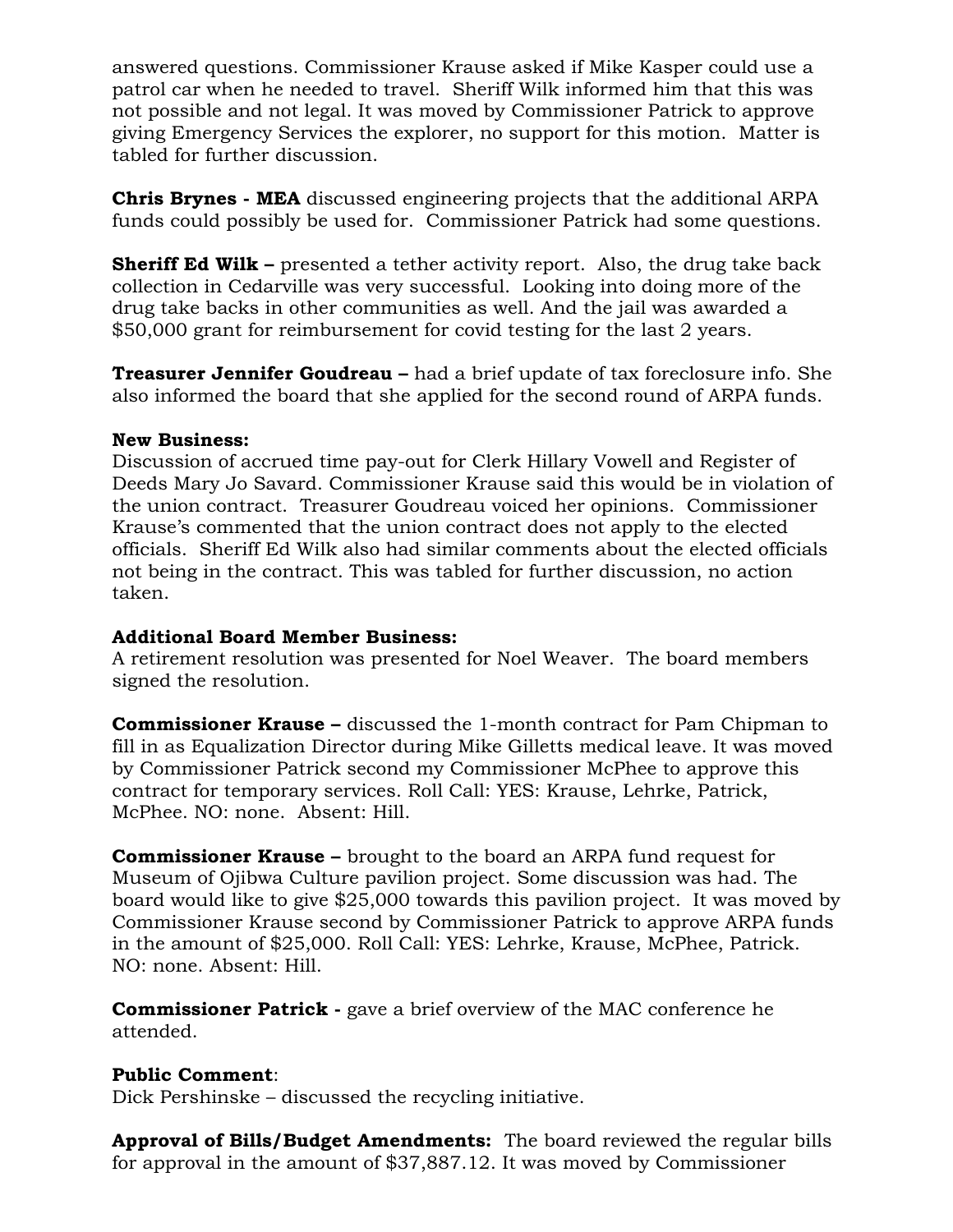answered questions. Commissioner Krause asked if Mike Kasper could use a patrol car when he needed to travel. Sheriff Wilk informed him that this was not possible and not legal. It was moved by Commissioner Patrick to approve giving Emergency Services the explorer, no support for this motion. Matter is tabled for further discussion.

**Chris Brynes - MEA** discussed engineering projects that the additional ARPA funds could possibly be used for. Commissioner Patrick had some questions.

**Sheriff Ed Wilk –** presented a tether activity report. Also, the drug take back collection in Cedarville was very successful. Looking into doing more of the drug take backs in other communities as well. And the jail was awarded a \$50,000 grant for reimbursement for covid testing for the last 2 years.

**Treasurer Jennifer Goudreau –** had a brief update of tax foreclosure info. She also informed the board that she applied for the second round of ARPA funds.

#### **New Business:**

Discussion of accrued time pay-out for Clerk Hillary Vowell and Register of Deeds Mary Jo Savard. Commissioner Krause said this would be in violation of the union contract. Treasurer Goudreau voiced her opinions. Commissioner Krause's commented that the union contract does not apply to the elected officials. Sheriff Ed Wilk also had similar comments about the elected officials not being in the contract. This was tabled for further discussion, no action taken.

# **Additional Board Member Business:**

A retirement resolution was presented for Noel Weaver. The board members signed the resolution.

**Commissioner Krause –** discussed the 1-month contract for Pam Chipman to fill in as Equalization Director during Mike Gilletts medical leave. It was moved by Commissioner Patrick second my Commissioner McPhee to approve this contract for temporary services. Roll Call: YES: Krause, Lehrke, Patrick, McPhee. NO: none. Absent: Hill.

**Commissioner Krause –** brought to the board an ARPA fund request for Museum of Ojibwa Culture pavilion project. Some discussion was had. The board would like to give \$25,000 towards this pavilion project. It was moved by Commissioner Krause second by Commissioner Patrick to approve ARPA funds in the amount of \$25,000. Roll Call: YES: Lehrke, Krause, McPhee, Patrick. NO: none. Absent: Hill.

**Commissioner Patrick -** gave a brief overview of the MAC conference he attended.

# **Public Comment**:

Dick Pershinske – discussed the recycling initiative.

**Approval of Bills/Budget Amendments:** The board reviewed the regular bills for approval in the amount of \$37,887.12. It was moved by Commissioner